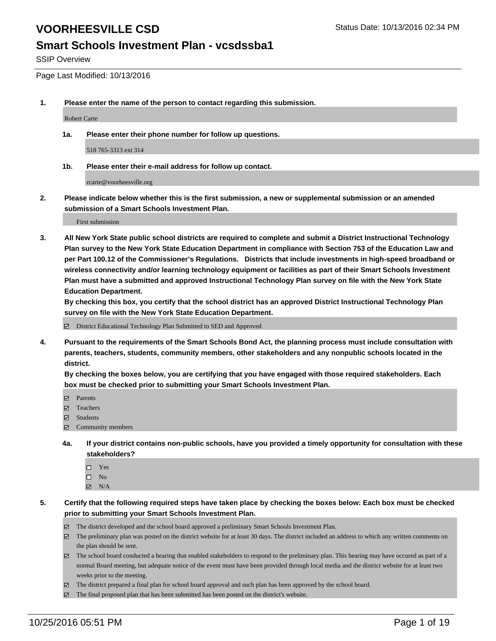#### **Smart Schools Investment Plan - vcsdssba1**

SSIP Overview

Page Last Modified: 10/13/2016

**1. Please enter the name of the person to contact regarding this submission.**

Robert Carte

**1a. Please enter their phone number for follow up questions.**

518 765-3313 ext 314

**1b. Please enter their e-mail address for follow up contact.**

rcarte@voorheesville.org

**2. Please indicate below whether this is the first submission, a new or supplemental submission or an amended submission of a Smart Schools Investment Plan.**

First submission

**3. All New York State public school districts are required to complete and submit a District Instructional Technology Plan survey to the New York State Education Department in compliance with Section 753 of the Education Law and per Part 100.12 of the Commissioner's Regulations. Districts that include investments in high-speed broadband or wireless connectivity and/or learning technology equipment or facilities as part of their Smart Schools Investment Plan must have a submitted and approved Instructional Technology Plan survey on file with the New York State Education Department.** 

**By checking this box, you certify that the school district has an approved District Instructional Technology Plan survey on file with the New York State Education Department.**

District Educational Technology Plan Submitted to SED and Approved

**4. Pursuant to the requirements of the Smart Schools Bond Act, the planning process must include consultation with parents, teachers, students, community members, other stakeholders and any nonpublic schools located in the district.** 

**By checking the boxes below, you are certifying that you have engaged with those required stakeholders. Each box must be checked prior to submitting your Smart Schools Investment Plan.**

- Parents
- □ Teachers
- $\boxtimes$  Students
- Community members
- **4a. If your district contains non-public schools, have you provided a timely opportunity for consultation with these stakeholders?**
	- $\Box$  Yes  $\square$  No
	- $\boxtimes$  N/A
- **5. Certify that the following required steps have taken place by checking the boxes below: Each box must be checked prior to submitting your Smart Schools Investment Plan.**
	- The district developed and the school board approved a preliminary Smart Schools Investment Plan.
	- $\boxtimes$  The preliminary plan was posted on the district website for at least 30 days. The district included an address to which any written comments on the plan should be sent.
	- $\boxtimes$  The school board conducted a hearing that enabled stakeholders to respond to the preliminary plan. This hearing may have occured as part of a normal Board meeting, but adequate notice of the event must have been provided through local media and the district website for at least two weeks prior to the meeting.
	- The district prepared a final plan for school board approval and such plan has been approved by the school board.
	- The final proposed plan that has been submitted has been posted on the district's website.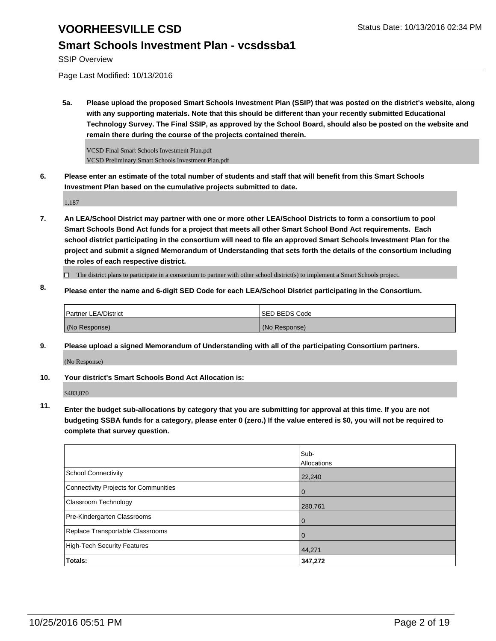### **Smart Schools Investment Plan - vcsdssba1**

SSIP Overview

Page Last Modified: 10/13/2016

**5a. Please upload the proposed Smart Schools Investment Plan (SSIP) that was posted on the district's website, along with any supporting materials. Note that this should be different than your recently submitted Educational Technology Survey. The Final SSIP, as approved by the School Board, should also be posted on the website and remain there during the course of the projects contained therein.**

VCSD Final Smart Schools Investment Plan.pdf VCSD Preliminary Smart Schools Investment Plan.pdf

**6. Please enter an estimate of the total number of students and staff that will benefit from this Smart Schools Investment Plan based on the cumulative projects submitted to date.**

1,187

**7. An LEA/School District may partner with one or more other LEA/School Districts to form a consortium to pool Smart Schools Bond Act funds for a project that meets all other Smart School Bond Act requirements. Each school district participating in the consortium will need to file an approved Smart Schools Investment Plan for the project and submit a signed Memorandum of Understanding that sets forth the details of the consortium including the roles of each respective district.**

 $\Box$  The district plans to participate in a consortium to partner with other school district(s) to implement a Smart Schools project.

**8. Please enter the name and 6-digit SED Code for each LEA/School District participating in the Consortium.**

| <b>Partner LEA/District</b> | <b>ISED BEDS Code</b> |
|-----------------------------|-----------------------|
| (No Response)               | (No Response)         |

**9. Please upload a signed Memorandum of Understanding with all of the participating Consortium partners.**

(No Response)

**10. Your district's Smart Schools Bond Act Allocation is:**

\$483,870

**11. Enter the budget sub-allocations by category that you are submitting for approval at this time. If you are not budgeting SSBA funds for a category, please enter 0 (zero.) If the value entered is \$0, you will not be required to complete that survey question.**

|                                       | Sub-<br>Allocations |
|---------------------------------------|---------------------|
| School Connectivity                   | 22,240              |
| Connectivity Projects for Communities | $\Omega$            |
| Classroom Technology                  | 280,761             |
| Pre-Kindergarten Classrooms           | 0                   |
| Replace Transportable Classrooms      |                     |
| High-Tech Security Features           | 44,271              |
| Totals:                               | 347,272             |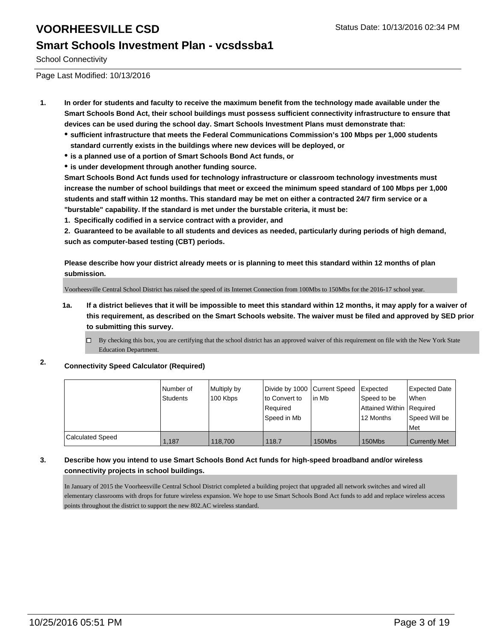#### **Smart Schools Investment Plan - vcsdssba1**

School Connectivity

Page Last Modified: 10/13/2016

- **1. In order for students and faculty to receive the maximum benefit from the technology made available under the Smart Schools Bond Act, their school buildings must possess sufficient connectivity infrastructure to ensure that devices can be used during the school day. Smart Schools Investment Plans must demonstrate that:**
	- **sufficient infrastructure that meets the Federal Communications Commission's 100 Mbps per 1,000 students standard currently exists in the buildings where new devices will be deployed, or**
	- **is a planned use of a portion of Smart Schools Bond Act funds, or**
	- **is under development through another funding source.**

**Smart Schools Bond Act funds used for technology infrastructure or classroom technology investments must increase the number of school buildings that meet or exceed the minimum speed standard of 100 Mbps per 1,000 students and staff within 12 months. This standard may be met on either a contracted 24/7 firm service or a "burstable" capability. If the standard is met under the burstable criteria, it must be:**

**1. Specifically codified in a service contract with a provider, and**

**2. Guaranteed to be available to all students and devices as needed, particularly during periods of high demand, such as computer-based testing (CBT) periods.**

**Please describe how your district already meets or is planning to meet this standard within 12 months of plan submission.**

Voorheesville Central School District has raised the speed of its Internet Connection from 100Mbs to 150Mbs for the 2016-17 school year.

- **1a. If a district believes that it will be impossible to meet this standard within 12 months, it may apply for a waiver of this requirement, as described on the Smart Schools website. The waiver must be filed and approved by SED prior to submitting this survey.**
	- $\Box$  By checking this box, you are certifying that the school district has an approved waiver of this requirement on file with the New York State Education Department.
- **2. Connectivity Speed Calculator (Required)**

|                         | Number of<br>Students | Multiply by<br>100 Kbps | Divide by 1000 Current Speed<br>to Convert to<br>Required<br>Speed in Mb | lin Mb | <b>Expected</b><br>Speed to be<br>Attained Within   Required<br>12 Months | Expected Date<br><b>When</b><br>Speed Will be<br>l Met |
|-------------------------|-----------------------|-------------------------|--------------------------------------------------------------------------|--------|---------------------------------------------------------------------------|--------------------------------------------------------|
| <b>Calculated Speed</b> | 1.187                 | 118,700                 | 118.7                                                                    | 150Mbs | 150Mbs                                                                    | <b>Currently Met</b>                                   |

#### **3. Describe how you intend to use Smart Schools Bond Act funds for high-speed broadband and/or wireless connectivity projects in school buildings.**

In January of 2015 the Voorheesville Central School District completed a building project that upgraded all network switches and wired all elementary classrooms with drops for future wireless expansion. We hope to use Smart Schools Bond Act funds to add and replace wireless access points throughout the district to support the new 802.AC wireless standard.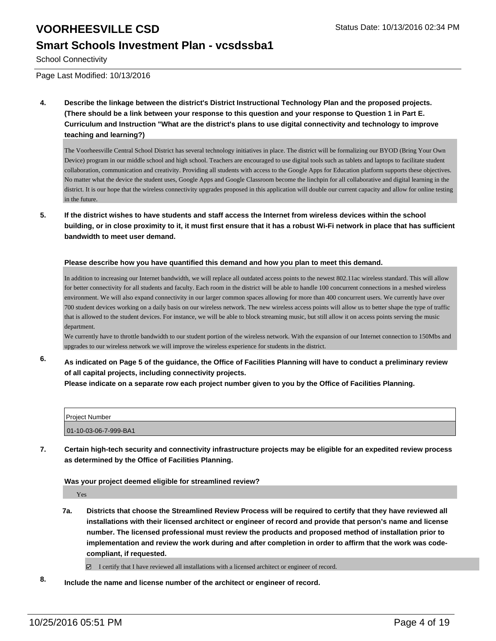#### **Smart Schools Investment Plan - vcsdssba1**

School Connectivity

Page Last Modified: 10/13/2016

**4. Describe the linkage between the district's District Instructional Technology Plan and the proposed projects. (There should be a link between your response to this question and your response to Question 1 in Part E. Curriculum and Instruction "What are the district's plans to use digital connectivity and technology to improve teaching and learning?)**

The Voorheesville Central School District has several technology initiatives in place. The district will be formalizing our BYOD (Bring Your Own Device) program in our middle school and high school. Teachers are encouraged to use digital tools such as tablets and laptops to facilitate student collaboration, communication and creativity. Providing all students with access to the Google Apps for Education platform supports these objectives. No matter what the device the student uses, Google Apps and Google Classroom become the linchpin for all collaborative and digital learning in the district. It is our hope that the wireless connectivity upgrades proposed in this application will double our current capacity and allow for online testing in the future.

**5. If the district wishes to have students and staff access the Internet from wireless devices within the school building, or in close proximity to it, it must first ensure that it has a robust Wi-Fi network in place that has sufficient bandwidth to meet user demand.**

#### **Please describe how you have quantified this demand and how you plan to meet this demand.**

In addition to increasing our Internet bandwidth, we will replace all outdated access points to the newest 802.11ac wireless standard. This will allow for better connectivity for all students and faculty. Each room in the district will be able to handle 100 concurrent connections in a meshed wireless environment. We will also expand connectivity in our larger common spaces allowing for more than 400 concurrent users. We currently have over 700 student devices working on a daily basis on our wireless network. The new wireless access points will allow us to better shape the type of traffic that is allowed to the student devices. For instance, we will be able to block streaming music, but still allow it on access points serving the music department.

We currently have to throttle bandwidth to our student portion of the wireless network. With the expansion of our Internet connection to 150Mbs and upgrades to our wireless network we will improve the wireless experience for students in the district.

**6. As indicated on Page 5 of the guidance, the Office of Facilities Planning will have to conduct a preliminary review of all capital projects, including connectivity projects.**

**Please indicate on a separate row each project number given to you by the Office of Facilities Planning.**

| Project Number        |  |
|-----------------------|--|
| 01-10-03-06-7-999-BA1 |  |

**7. Certain high-tech security and connectivity infrastructure projects may be eligible for an expedited review process as determined by the Office of Facilities Planning.**

#### **Was your project deemed eligible for streamlined review?**

Yes

**7a. Districts that choose the Streamlined Review Process will be required to certify that they have reviewed all installations with their licensed architect or engineer of record and provide that person's name and license number. The licensed professional must review the products and proposed method of installation prior to implementation and review the work during and after completion in order to affirm that the work was codecompliant, if requested.**

 $\boxtimes$  I certify that I have reviewed all installations with a licensed architect or engineer of record.

**8. Include the name and license number of the architect or engineer of record.**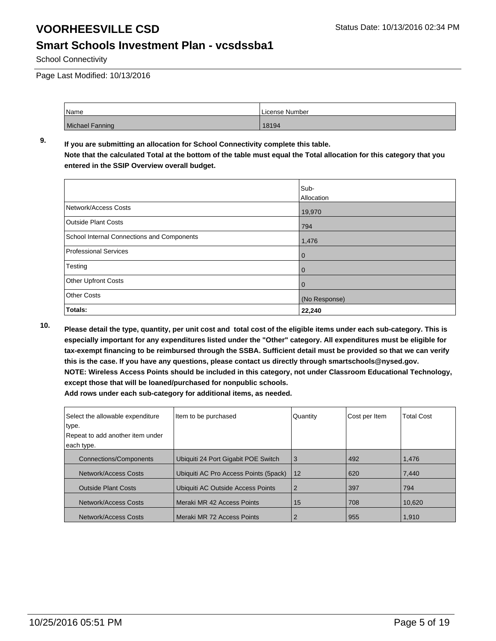#### **Smart Schools Investment Plan - vcsdssba1**

School Connectivity

Page Last Modified: 10/13/2016

| Name            | License Number |
|-----------------|----------------|
| Michael Fanning | 18194          |

#### **9. If you are submitting an allocation for School Connectivity complete this table. Note that the calculated Total at the bottom of the table must equal the Total allocation for this category that you entered in the SSIP Overview overall budget.**

|                                            | Sub-<br>Allocation |
|--------------------------------------------|--------------------|
| Network/Access Costs                       | 19,970             |
| <b>Outside Plant Costs</b>                 | 794                |
| School Internal Connections and Components | 1,476              |
| Professional Services                      | $\mathbf 0$        |
| Testing                                    | 0                  |
| Other Upfront Costs                        | 0                  |
| <b>Other Costs</b>                         | (No Response)      |
| Totals:                                    | 22,240             |

**10. Please detail the type, quantity, per unit cost and total cost of the eligible items under each sub-category. This is especially important for any expenditures listed under the "Other" category. All expenditures must be eligible for tax-exempt financing to be reimbursed through the SSBA. Sufficient detail must be provided so that we can verify this is the case. If you have any questions, please contact us directly through smartschools@nysed.gov. NOTE: Wireless Access Points should be included in this category, not under Classroom Educational Technology, except those that will be loaned/purchased for nonpublic schools.**

| Select the allowable expenditure<br>type.<br>Repeat to add another item under | Item to be purchased                  | Quantity | Cost per Item | <b>Total Cost</b> |
|-------------------------------------------------------------------------------|---------------------------------------|----------|---------------|-------------------|
| each type.                                                                    |                                       |          |               |                   |
|                                                                               |                                       |          |               |                   |
| <b>Connections/Components</b>                                                 | Ubiquiti 24 Port Gigabit POE Switch   | 3        | 492           | 1,476             |
| Network/Access Costs                                                          | Ubiquiti AC Pro Access Points (5pack) | 12       | 620           | 7,440             |
| <b>Outside Plant Costs</b>                                                    | Ubiquiti AC Outside Access Points     | 2        | 397           | 794               |
| Network/Access Costs                                                          | l Meraki MR 42 Access Points          | 15       | 708           | 10.620            |
| Network/Access Costs                                                          | l Meraki MR 72 Access Points          |          | 955           | 1,910             |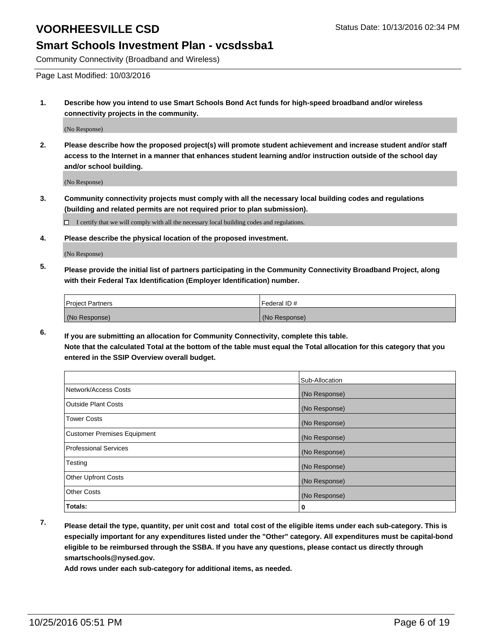#### **Smart Schools Investment Plan - vcsdssba1**

Community Connectivity (Broadband and Wireless)

Page Last Modified: 10/03/2016

**1. Describe how you intend to use Smart Schools Bond Act funds for high-speed broadband and/or wireless connectivity projects in the community.**

(No Response)

**2. Please describe how the proposed project(s) will promote student achievement and increase student and/or staff access to the Internet in a manner that enhances student learning and/or instruction outside of the school day and/or school building.**

(No Response)

**3. Community connectivity projects must comply with all the necessary local building codes and regulations (building and related permits are not required prior to plan submission).**

 $\Box$  I certify that we will comply with all the necessary local building codes and regulations.

**4. Please describe the physical location of the proposed investment.**

(No Response)

**5. Please provide the initial list of partners participating in the Community Connectivity Broadband Project, along with their Federal Tax Identification (Employer Identification) number.**

| <b>Project Partners</b> | Federal ID#   |
|-------------------------|---------------|
| (No Response)           | (No Response) |

**6. If you are submitting an allocation for Community Connectivity, complete this table. Note that the calculated Total at the bottom of the table must equal the Total allocation for this category that you entered in the SSIP Overview overall budget.**

|                                    | Sub-Allocation |
|------------------------------------|----------------|
| Network/Access Costs               | (No Response)  |
| <b>Outside Plant Costs</b>         | (No Response)  |
| Tower Costs                        | (No Response)  |
| <b>Customer Premises Equipment</b> | (No Response)  |
| <b>Professional Services</b>       | (No Response)  |
| Testing                            | (No Response)  |
| <b>Other Upfront Costs</b>         | (No Response)  |
| <b>Other Costs</b>                 | (No Response)  |
| Totals:                            | 0              |

**7. Please detail the type, quantity, per unit cost and total cost of the eligible items under each sub-category. This is especially important for any expenditures listed under the "Other" category. All expenditures must be capital-bond eligible to be reimbursed through the SSBA. If you have any questions, please contact us directly through smartschools@nysed.gov.**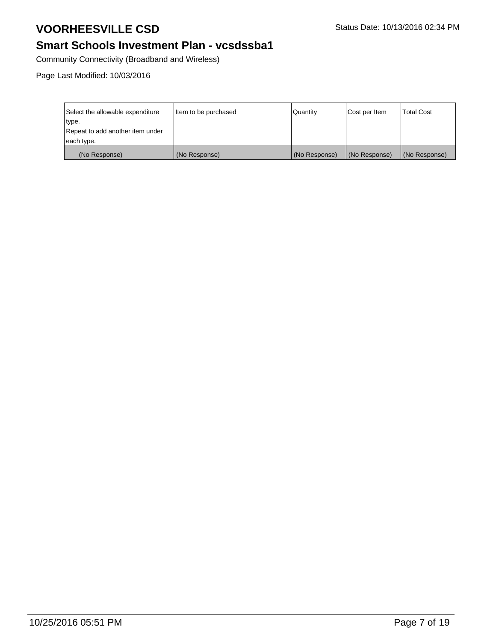## **Smart Schools Investment Plan - vcsdssba1**

Community Connectivity (Broadband and Wireless)

Page Last Modified: 10/03/2016

| Select the allowable expenditure | Item to be purchased | Quantity      | Cost per Item | <b>Total Cost</b> |
|----------------------------------|----------------------|---------------|---------------|-------------------|
| type.                            |                      |               |               |                   |
| Repeat to add another item under |                      |               |               |                   |
| each type.                       |                      |               |               |                   |
| (No Response)                    | (No Response)        | (No Response) | (No Response) | (No Response)     |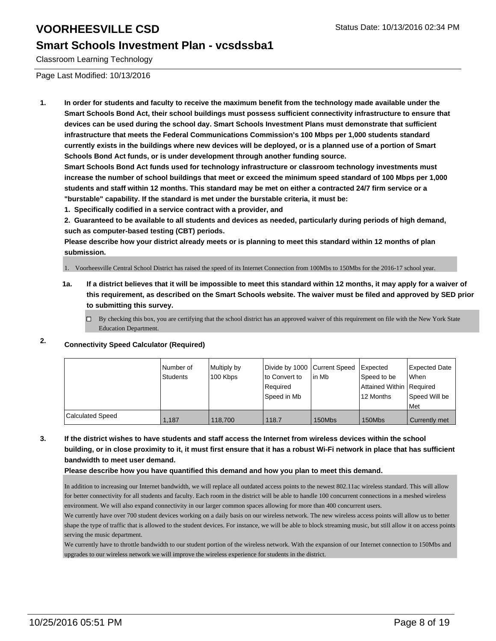### **Smart Schools Investment Plan - vcsdssba1**

Classroom Learning Technology

Page Last Modified: 10/13/2016

**1. In order for students and faculty to receive the maximum benefit from the technology made available under the Smart Schools Bond Act, their school buildings must possess sufficient connectivity infrastructure to ensure that devices can be used during the school day. Smart Schools Investment Plans must demonstrate that sufficient infrastructure that meets the Federal Communications Commission's 100 Mbps per 1,000 students standard currently exists in the buildings where new devices will be deployed, or is a planned use of a portion of Smart Schools Bond Act funds, or is under development through another funding source.**

**Smart Schools Bond Act funds used for technology infrastructure or classroom technology investments must increase the number of school buildings that meet or exceed the minimum speed standard of 100 Mbps per 1,000 students and staff within 12 months. This standard may be met on either a contracted 24/7 firm service or a "burstable" capability. If the standard is met under the burstable criteria, it must be:**

**1. Specifically codified in a service contract with a provider, and**

**2. Guaranteed to be available to all students and devices as needed, particularly during periods of high demand, such as computer-based testing (CBT) periods.**

**Please describe how your district already meets or is planning to meet this standard within 12 months of plan submission.**

1. Voorheesville Central School District has raised the speed of its Internet Connection from 100Mbs to 150Mbs for the 2016-17 school year.

- **1a. If a district believes that it will be impossible to meet this standard within 12 months, it may apply for a waiver of this requirement, as described on the Smart Schools website. The waiver must be filed and approved by SED prior to submitting this survey.**
	- $\Box$  By checking this box, you are certifying that the school district has an approved waiver of this requirement on file with the New York State Education Department.

### **2. Connectivity Speed Calculator (Required)**

|                         | Number of<br><b>Students</b> | Multiply by<br>100 Kbps | Ito Convert to<br>Required<br> Speed in Mb | Divide by 1000 Current Speed   Expected<br>lin Mb | Speed to be<br>Attained Within   Required<br>12 Months | <b>Expected Date</b><br>l When<br>Speed Will be<br>Met |
|-------------------------|------------------------------|-------------------------|--------------------------------------------|---------------------------------------------------|--------------------------------------------------------|--------------------------------------------------------|
| <b>Calculated Speed</b> | 1,187                        | 118,700                 | 118.7                                      | 150Mbs                                            | 150Mbs                                                 | Currently met                                          |

**3. If the district wishes to have students and staff access the Internet from wireless devices within the school building, or in close proximity to it, it must first ensure that it has a robust Wi-Fi network in place that has sufficient bandwidth to meet user demand.**

**Please describe how you have quantified this demand and how you plan to meet this demand.**

In addition to increasing our Internet bandwidth, we will replace all outdated access points to the newest 802.11ac wireless standard. This will allow for better connectivity for all students and faculty. Each room in the district will be able to handle 100 concurrent connections in a meshed wireless environment. We will also expand connectivity in our larger common spaces allowing for more than 400 concurrent users.

We currently have over 700 student devices working on a daily basis on our wireless network. The new wireless access points will allow us to better shape the type of traffic that is allowed to the student devices. For instance, we will be able to block streaming music, but still allow it on access points serving the music department.

We currently have to throttle bandwidth to our student portion of the wireless network. With the expansion of our Internet connection to 150Mbs and upgrades to our wireless network we will improve the wireless experience for students in the district.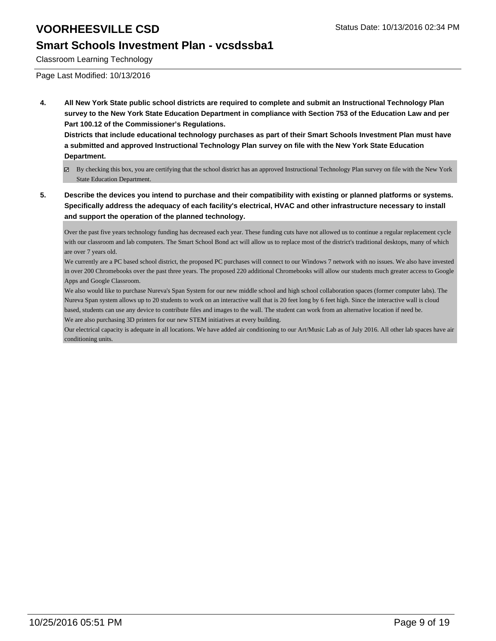#### **Smart Schools Investment Plan - vcsdssba1**

Classroom Learning Technology

Page Last Modified: 10/13/2016

**4. All New York State public school districts are required to complete and submit an Instructional Technology Plan survey to the New York State Education Department in compliance with Section 753 of the Education Law and per Part 100.12 of the Commissioner's Regulations.**

**Districts that include educational technology purchases as part of their Smart Schools Investment Plan must have a submitted and approved Instructional Technology Plan survey on file with the New York State Education Department.**

- By checking this box, you are certifying that the school district has an approved Instructional Technology Plan survey on file with the New York State Education Department.
- **5. Describe the devices you intend to purchase and their compatibility with existing or planned platforms or systems. Specifically address the adequacy of each facility's electrical, HVAC and other infrastructure necessary to install and support the operation of the planned technology.**

Over the past five years technology funding has decreased each year. These funding cuts have not allowed us to continue a regular replacement cycle with our classroom and lab computers. The Smart School Bond act will allow us to replace most of the district's traditional desktops, many of which are over 7 years old.

We currently are a PC based school district, the proposed PC purchases will connect to our Windows 7 network with no issues. We also have invested in over 200 Chromebooks over the past three years. The proposed 220 additional Chromebooks will allow our students much greater access to Google Apps and Google Classroom.

We also would like to purchase Nureva's Span System for our new middle school and high school collaboration spaces (former computer labs). The Nureva Span system allows up to 20 students to work on an interactive wall that is 20 feet long by 6 feet high. Since the interactive wall is cloud based, students can use any device to contribute files and images to the wall. The student can work from an alternative location if need be. We are also purchasing 3D printers for our new STEM initiatives at every building.

Our electrical capacity is adequate in all locations. We have added air conditioning to our Art/Music Lab as of July 2016. All other lab spaces have air conditioning units.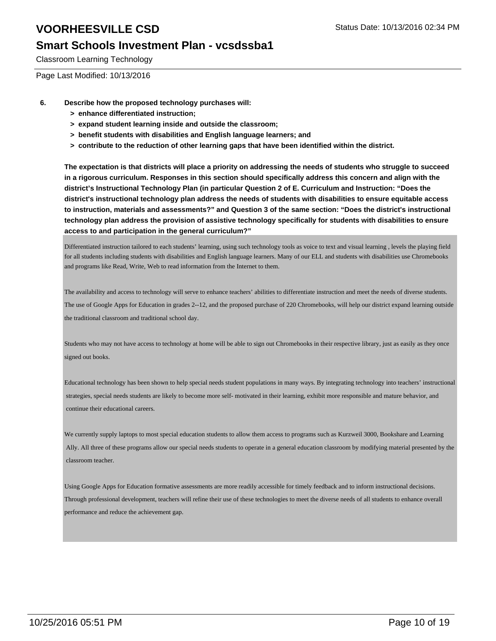#### **Smart Schools Investment Plan - vcsdssba1**

Classroom Learning Technology

Page Last Modified: 10/13/2016

- **6. Describe how the proposed technology purchases will:**
	- **> enhance differentiated instruction;**
	- **> expand student learning inside and outside the classroom;**
	- **> benefit students with disabilities and English language learners; and**
	- **> contribute to the reduction of other learning gaps that have been identified within the district.**

**The expectation is that districts will place a priority on addressing the needs of students who struggle to succeed in a rigorous curriculum. Responses in this section should specifically address this concern and align with the district's Instructional Technology Plan (in particular Question 2 of E. Curriculum and Instruction: "Does the district's instructional technology plan address the needs of students with disabilities to ensure equitable access to instruction, materials and assessments?" and Question 3 of the same section: "Does the district's instructional technology plan address the provision of assistive technology specifically for students with disabilities to ensure access to and participation in the general curriculum?"**

Differentiated instruction tailored to each students' learning, using such technology tools as voice to text and visual learning , levels the playing field for all students including students with disabilities and English language learners. Many of our ELL and students with disabilities use Chromebooks and programs like Read, Write, Web to read information from the Internet to them.

The availability and access to technology will serve to enhance teachers' abilities to differentiate instruction and meet the needs of diverse students. The use of Google Apps for Education in grades 2--12, and the proposed purchase of 220 Chromebooks, will help our district expand learning outside the traditional classroom and traditional school day.

Students who may not have access to technology at home will be able to sign out Chromebooks in their respective library, just as easily as they once signed out books.

Educational technology has been shown to help special needs student populations in many ways. By integrating technology into teachers' instructional strategies, special needs students are likely to become more self- motivated in their learning, exhibit more responsible and mature behavior, and continue their educational careers.

We currently supply laptops to most special education students to allow them access to programs such as Kurzweil 3000, Bookshare and Learning Ally. All three of these programs allow our special needs students to operate in a general education classroom by modifying material presented by the classroom teacher.

Using Google Apps for Education formative assessments are more readily accessible for timely feedback and to inform instructional decisions. Through professional development, teachers will refine their use of these technologies to meet the diverse needs of all students to enhance overall performance and reduce the achievement gap.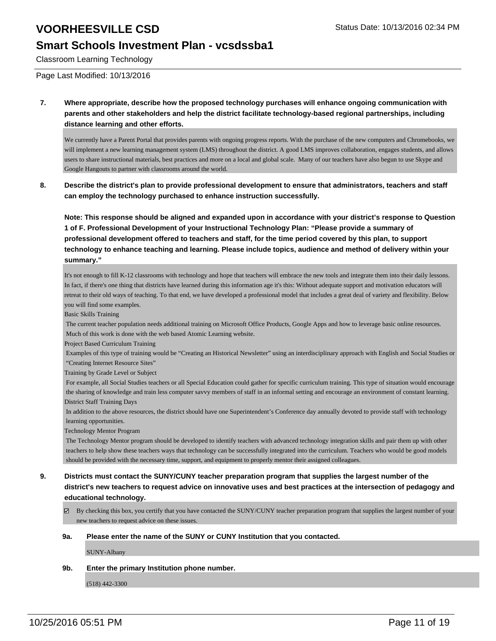### **Smart Schools Investment Plan - vcsdssba1**

Classroom Learning Technology

Page Last Modified: 10/13/2016

**7. Where appropriate, describe how the proposed technology purchases will enhance ongoing communication with parents and other stakeholders and help the district facilitate technology-based regional partnerships, including distance learning and other efforts.**

We currently have a Parent Portal that provides parents with ongoing progress reports. With the purchase of the new computers and Chromebooks, we will implement a new learning management system (LMS) throughout the district. A good LMS improves collaboration, engages students, and allows users to share instructional materials, best practices and more on a local and global scale. Many of our teachers have also begun to use Skype and Google Hangouts to partner with classrooms around the world.

**8. Describe the district's plan to provide professional development to ensure that administrators, teachers and staff can employ the technology purchased to enhance instruction successfully.**

**Note: This response should be aligned and expanded upon in accordance with your district's response to Question 1 of F. Professional Development of your Instructional Technology Plan: "Please provide a summary of professional development offered to teachers and staff, for the time period covered by this plan, to support technology to enhance teaching and learning. Please include topics, audience and method of delivery within your summary."**

It's not enough to fill K-12 classrooms with technology and hope that teachers will embrace the new tools and integrate them into their daily lessons. In fact, if there's one thing that districts have learned during this information age it's this: Without adequate support and motivation educators will retreat to their old ways of teaching. To that end, we have developed a professional model that includes a great deal of variety and flexibility. Below you will find some examples.

Basic Skills Training

 The current teacher population needs additional training on Microsoft Office Products, Google Apps and how to leverage basic online resources. Much of this work is done with the web based Atomic Learning website.

Project Based Curriculum Training

 Examples of this type of training would be "Creating an Historical Newsletter" using an interdisciplinary approach with English and Social Studies or "Creating Internet Resource Sites"

Training by Grade Level or Subject

 For example, all Social Studies teachers or all Special Education could gather for specific curriculum training. This type of situation would encourage the sharing of knowledge and train less computer savvy members of staff in an informal setting and encourage an environment of constant learning. District Staff Training Days

 In addition to the above resources, the district should have one Superintendent's Conference day annually devoted to provide staff with technology learning opportunities.

Technology Mentor Program

 The Technology Mentor program should be developed to identify teachers with advanced technology integration skills and pair them up with other teachers to help show these teachers ways that technology can be successfully integrated into the curriculum. Teachers who would be good models should be provided with the necessary time, support, and equipment to properly mentor their assigned colleagues.

- **9. Districts must contact the SUNY/CUNY teacher preparation program that supplies the largest number of the district's new teachers to request advice on innovative uses and best practices at the intersection of pedagogy and educational technology.**
	- By checking this box, you certify that you have contacted the SUNY/CUNY teacher preparation program that supplies the largest number of your new teachers to request advice on these issues.

#### **9a. Please enter the name of the SUNY or CUNY Institution that you contacted.**

SUNY-Albany

#### **9b. Enter the primary Institution phone number.**

(518) 442-3300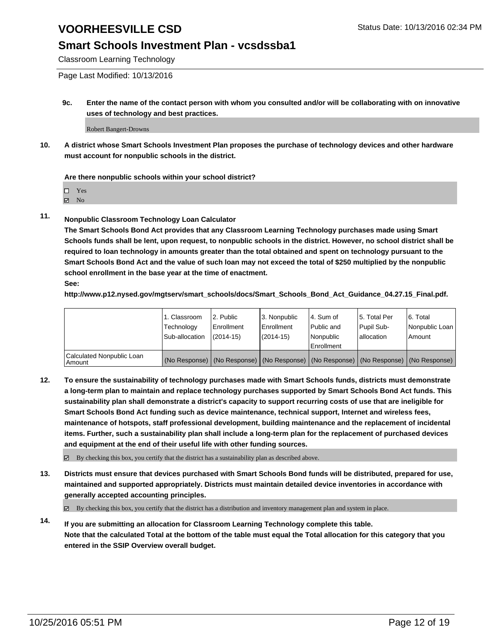#### **Smart Schools Investment Plan - vcsdssba1**

Classroom Learning Technology

Page Last Modified: 10/13/2016

**9c. Enter the name of the contact person with whom you consulted and/or will be collaborating with on innovative uses of technology and best practices.**

Robert Bangert-Drowns

**10. A district whose Smart Schools Investment Plan proposes the purchase of technology devices and other hardware must account for nonpublic schools in the district.**

#### **Are there nonpublic schools within your school district?**

□ Yes

 $\boxtimes$  No

**11. Nonpublic Classroom Technology Loan Calculator**

**The Smart Schools Bond Act provides that any Classroom Learning Technology purchases made using Smart Schools funds shall be lent, upon request, to nonpublic schools in the district. However, no school district shall be required to loan technology in amounts greater than the total obtained and spent on technology pursuant to the Smart Schools Bond Act and the value of such loan may not exceed the total of \$250 multiplied by the nonpublic school enrollment in the base year at the time of enactment. See:**

**http://www.p12.nysed.gov/mgtserv/smart\_schools/docs/Smart\_Schools\_Bond\_Act\_Guidance\_04.27.15\_Final.pdf.**

|                                         | 1. Classroom<br>Technology | 2. Public<br><b>Enrollment</b> | 3. Nonpublic<br>Enrollment                                                                    | l 4. Sum of<br>l Public and | 5. Total Per<br>Pupil Sub- | 6. Total<br>Nonpublic Loan |
|-----------------------------------------|----------------------------|--------------------------------|-----------------------------------------------------------------------------------------------|-----------------------------|----------------------------|----------------------------|
|                                         | Sub-allocation             | $(2014 - 15)$                  | $(2014-15)$                                                                                   | Nonpublic<br>Enrollment     | lallocation                | Amount                     |
| Calculated Nonpublic Loan<br>l Amount i |                            |                                | (No Response)   (No Response)   (No Response)   (No Response)   (No Response)   (No Response) |                             |                            |                            |

**12. To ensure the sustainability of technology purchases made with Smart Schools funds, districts must demonstrate a long-term plan to maintain and replace technology purchases supported by Smart Schools Bond Act funds. This sustainability plan shall demonstrate a district's capacity to support recurring costs of use that are ineligible for Smart Schools Bond Act funding such as device maintenance, technical support, Internet and wireless fees, maintenance of hotspots, staff professional development, building maintenance and the replacement of incidental items. Further, such a sustainability plan shall include a long-term plan for the replacement of purchased devices and equipment at the end of their useful life with other funding sources.**

By checking this box, you certify that the district has a sustainability plan as described above.

**13. Districts must ensure that devices purchased with Smart Schools Bond funds will be distributed, prepared for use, maintained and supported appropriately. Districts must maintain detailed device inventories in accordance with generally accepted accounting principles.**

By checking this box, you certify that the district has a distribution and inventory management plan and system in place.

**14. If you are submitting an allocation for Classroom Learning Technology complete this table. Note that the calculated Total at the bottom of the table must equal the Total allocation for this category that you entered in the SSIP Overview overall budget.**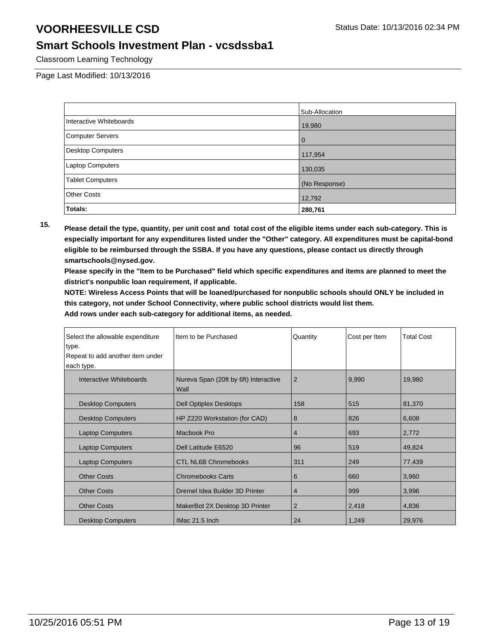#### **Smart Schools Investment Plan - vcsdssba1**

Classroom Learning Technology

Page Last Modified: 10/13/2016

|                          | Sub-Allocation |
|--------------------------|----------------|
| Interactive Whiteboards  | 19,980         |
| <b>Computer Servers</b>  | $\Omega$       |
| <b>Desktop Computers</b> | 117,954        |
| Laptop Computers         | 130,035        |
| <b>Tablet Computers</b>  | (No Response)  |
| <b>Other Costs</b>       | 12,792         |
| Totals:                  | 280,761        |

**15. Please detail the type, quantity, per unit cost and total cost of the eligible items under each sub-category. This is especially important for any expenditures listed under the "Other" category. All expenditures must be capital-bond eligible to be reimbursed through the SSBA. If you have any questions, please contact us directly through smartschools@nysed.gov.**

**Please specify in the "Item to be Purchased" field which specific expenditures and items are planned to meet the district's nonpublic loan requirement, if applicable.**

**NOTE: Wireless Access Points that will be loaned/purchased for nonpublic schools should ONLY be included in this category, not under School Connectivity, where public school districts would list them.**

| Select the allowable expenditure | Item to be Purchased                          | Quantity       | Cost per Item | <b>Total Cost</b> |
|----------------------------------|-----------------------------------------------|----------------|---------------|-------------------|
| type.                            |                                               |                |               |                   |
| Repeat to add another item under |                                               |                |               |                   |
| each type.                       |                                               |                |               |                   |
| Interactive Whiteboards          | Nureva Span (20ft by 6ft) Interactive<br>Wall | 2              | 9,990         | 19,980            |
| <b>Desktop Computers</b>         | Dell Optiplex Desktops                        | 158            | 515           | 81,370            |
| <b>Desktop Computers</b>         | HP Z220 Workstation (for CAD)                 | 8              | 826           | 6,608             |
| <b>Laptop Computers</b>          | Macbook Pro                                   | 4              | 693           | 2,772             |
| <b>Laptop Computers</b>          | Dell Latitude E6520                           | 96             | 519           | 49,824            |
| <b>Laptop Computers</b>          | <b>CTL NL6B Chromebooks</b>                   | 311            | 249           | 77,439            |
| <b>Other Costs</b>               | <b>Chromebooks Carts</b>                      | 6              | 660           | 3,960             |
| <b>Other Costs</b>               | Dremel Idea Builder 3D Printer                | 4              | 999           | 3,996             |
| <b>Other Costs</b>               | MakerBot 2X Desktop 3D Printer                | $\overline{2}$ | 2,418         | 4,836             |
| <b>Desktop Computers</b>         | IMac 21.5 Inch                                | 24             | 1,249         | 29,976            |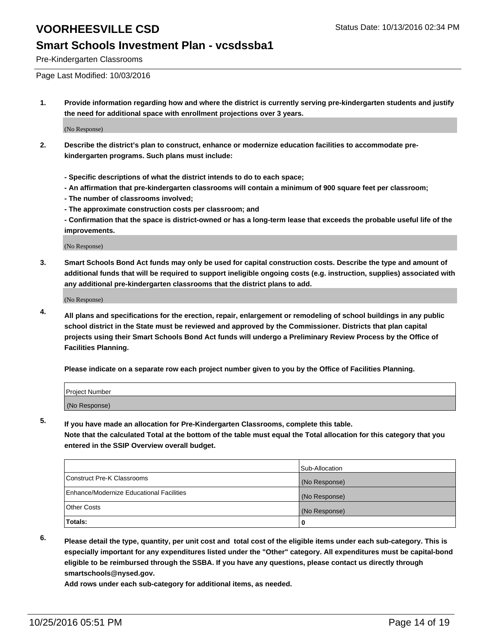### **Smart Schools Investment Plan - vcsdssba1**

Pre-Kindergarten Classrooms

Page Last Modified: 10/03/2016

**1. Provide information regarding how and where the district is currently serving pre-kindergarten students and justify the need for additional space with enrollment projections over 3 years.**

(No Response)

- **2. Describe the district's plan to construct, enhance or modernize education facilities to accommodate prekindergarten programs. Such plans must include:**
	- **Specific descriptions of what the district intends to do to each space;**
	- **An affirmation that pre-kindergarten classrooms will contain a minimum of 900 square feet per classroom;**
	- **The number of classrooms involved;**
	- **The approximate construction costs per classroom; and**
	- **Confirmation that the space is district-owned or has a long-term lease that exceeds the probable useful life of the improvements.**

(No Response)

**3. Smart Schools Bond Act funds may only be used for capital construction costs. Describe the type and amount of additional funds that will be required to support ineligible ongoing costs (e.g. instruction, supplies) associated with any additional pre-kindergarten classrooms that the district plans to add.**

(No Response)

**4. All plans and specifications for the erection, repair, enlargement or remodeling of school buildings in any public school district in the State must be reviewed and approved by the Commissioner. Districts that plan capital projects using their Smart Schools Bond Act funds will undergo a Preliminary Review Process by the Office of Facilities Planning.**

**Please indicate on a separate row each project number given to you by the Office of Facilities Planning.**

| Project Number |  |  |
|----------------|--|--|
| (No Response)  |  |  |

**5. If you have made an allocation for Pre-Kindergarten Classrooms, complete this table.**

**Note that the calculated Total at the bottom of the table must equal the Total allocation for this category that you entered in the SSIP Overview overall budget.**

|                                          | Sub-Allocation |
|------------------------------------------|----------------|
| Construct Pre-K Classrooms               | (No Response)  |
| Enhance/Modernize Educational Facilities | (No Response)  |
| Other Costs                              | (No Response)  |
| <b>Totals:</b>                           |                |

**6. Please detail the type, quantity, per unit cost and total cost of the eligible items under each sub-category. This is especially important for any expenditures listed under the "Other" category. All expenditures must be capital-bond eligible to be reimbursed through the SSBA. If you have any questions, please contact us directly through smartschools@nysed.gov.**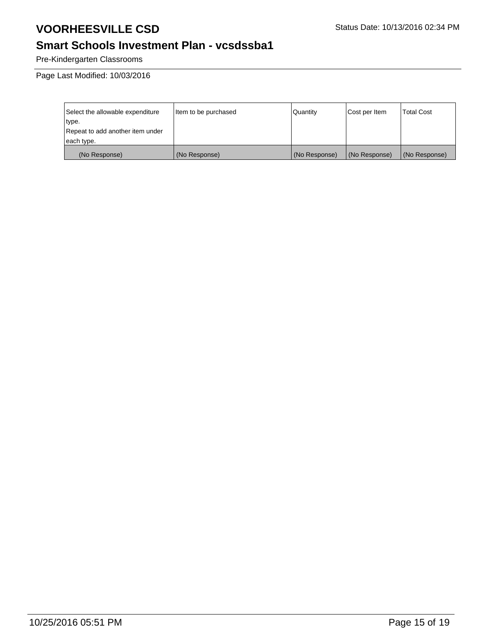## **Smart Schools Investment Plan - vcsdssba1**

Pre-Kindergarten Classrooms

Page Last Modified: 10/03/2016

| Select the allowable expenditure | Item to be purchased | l Quantitv    | Cost per Item | <b>Total Cost</b> |
|----------------------------------|----------------------|---------------|---------------|-------------------|
| type.                            |                      |               |               |                   |
| Repeat to add another item under |                      |               |               |                   |
| each type.                       |                      |               |               |                   |
| (No Response)                    | (No Response)        | (No Response) | (No Response) | (No Response)     |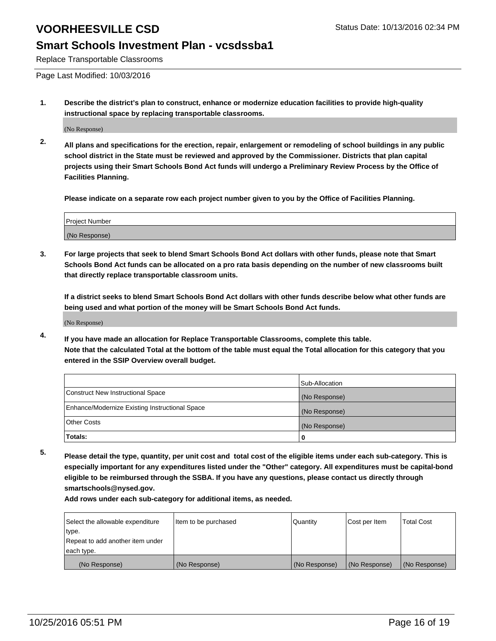#### **Smart Schools Investment Plan - vcsdssba1**

Replace Transportable Classrooms

Page Last Modified: 10/03/2016

**1. Describe the district's plan to construct, enhance or modernize education facilities to provide high-quality instructional space by replacing transportable classrooms.**

(No Response)

**2. All plans and specifications for the erection, repair, enlargement or remodeling of school buildings in any public school district in the State must be reviewed and approved by the Commissioner. Districts that plan capital projects using their Smart Schools Bond Act funds will undergo a Preliminary Review Process by the Office of Facilities Planning.**

**Please indicate on a separate row each project number given to you by the Office of Facilities Planning.**

| Project Number |  |
|----------------|--|
| (No Response)  |  |

**3. For large projects that seek to blend Smart Schools Bond Act dollars with other funds, please note that Smart Schools Bond Act funds can be allocated on a pro rata basis depending on the number of new classrooms built that directly replace transportable classroom units.**

**If a district seeks to blend Smart Schools Bond Act dollars with other funds describe below what other funds are being used and what portion of the money will be Smart Schools Bond Act funds.**

(No Response)

**4. If you have made an allocation for Replace Transportable Classrooms, complete this table. Note that the calculated Total at the bottom of the table must equal the Total allocation for this category that you entered in the SSIP Overview overall budget.**

|                                                | Sub-Allocation |
|------------------------------------------------|----------------|
| Construct New Instructional Space              | (No Response)  |
| Enhance/Modernize Existing Instructional Space | (No Response)  |
| Other Costs                                    | (No Response)  |
| Totals:                                        | 0              |

**5. Please detail the type, quantity, per unit cost and total cost of the eligible items under each sub-category. This is especially important for any expenditures listed under the "Other" category. All expenditures must be capital-bond eligible to be reimbursed through the SSBA. If you have any questions, please contact us directly through smartschools@nysed.gov.**

| Select the allowable expenditure | Item to be purchased | Quantity      | Cost per Item | Total Cost    |
|----------------------------------|----------------------|---------------|---------------|---------------|
| type.                            |                      |               |               |               |
| Repeat to add another item under |                      |               |               |               |
| each type.                       |                      |               |               |               |
| (No Response)                    | (No Response)        | (No Response) | (No Response) | (No Response) |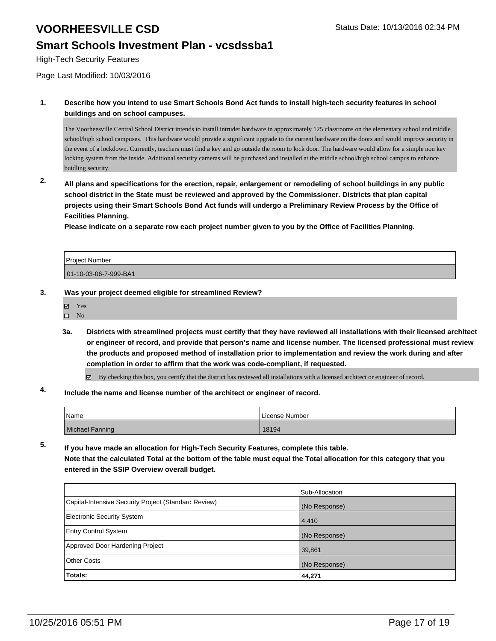### **Smart Schools Investment Plan - vcsdssba1**

High-Tech Security Features

Page Last Modified: 10/03/2016

**1. Describe how you intend to use Smart Schools Bond Act funds to install high-tech security features in school buildings and on school campuses.**

The Voorheesville Central School District intends to install intruder hardware in approximately 125 classrooms on the elementary school and middle school/high school campuses. This hardware would provide a significant upgrade to the current hardware on the doors and would improve security in the event of a lockdown. Currently, teachers must find a key and go outside the room to lock door. The hardware would allow for a simple non key locking system from the inside. Additional security cameras will be purchased and installed at the middle school/high school campus to enhance buidling security.

**2. All plans and specifications for the erection, repair, enlargement or remodeling of school buildings in any public school district in the State must be reviewed and approved by the Commissioner. Districts that plan capital projects using their Smart Schools Bond Act funds will undergo a Preliminary Review Process by the Office of Facilities Planning.** 

**Please indicate on a separate row each project number given to you by the Office of Facilities Planning.**

Project Number 01-10-03-06-7-999-BA1

- **3. Was your project deemed eligible for streamlined Review?**
	- Yes
	- $\square$  No
	- **3a. Districts with streamlined projects must certify that they have reviewed all installations with their licensed architect or engineer of record, and provide that person's name and license number. The licensed professional must review the products and proposed method of installation prior to implementation and review the work during and after completion in order to affirm that the work was code-compliant, if requested.**

By checking this box, you certify that the district has reviewed all installations with a licensed architect or engineer of record.

**4. Include the name and license number of the architect or engineer of record.**

| <i>N</i> ame    | License Number |
|-----------------|----------------|
| Michael Fanning | 18194          |

**5. If you have made an allocation for High-Tech Security Features, complete this table. Note that the calculated Total at the bottom of the table must equal the Total allocation for this category that you entered in the SSIP Overview overall budget.**

|                                                      | Sub-Allocation |
|------------------------------------------------------|----------------|
| Capital-Intensive Security Project (Standard Review) | (No Response)  |
| Electronic Security System                           | 4,410          |
| <b>Entry Control System</b>                          | (No Response)  |
| Approved Door Hardening Project                      | 39,861         |
| Other Costs                                          | (No Response)  |
| Totals:                                              | 44,271         |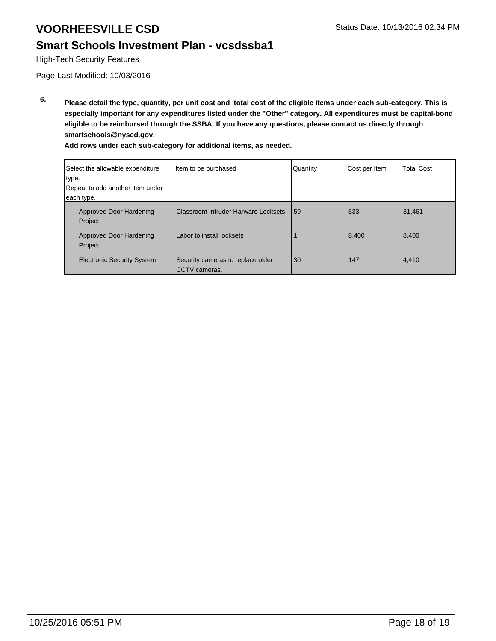### **Smart Schools Investment Plan - vcsdssba1**

High-Tech Security Features

Page Last Modified: 10/03/2016

**6. Please detail the type, quantity, per unit cost and total cost of the eligible items under each sub-category. This is especially important for any expenditures listed under the "Other" category. All expenditures must be capital-bond eligible to be reimbursed through the SSBA. If you have any questions, please contact us directly through smartschools@nysed.gov.**

| Select the allowable expenditure<br>type.<br>Repeat to add another item under<br>each type. | Item to be purchased                               | Quantity | Cost per Item | <b>Total Cost</b> |
|---------------------------------------------------------------------------------------------|----------------------------------------------------|----------|---------------|-------------------|
| Approved Door Hardening<br>Project                                                          | Classroom Intruder Harware Locksets                | 59       | 533           | 31,461            |
| Approved Door Hardening<br>Project                                                          | Labor to install locksets                          |          | 8,400         | 8,400             |
| <b>Electronic Security System</b>                                                           | Security cameras to replace older<br>CCTV cameras. | 30       | 147           | 4,410             |